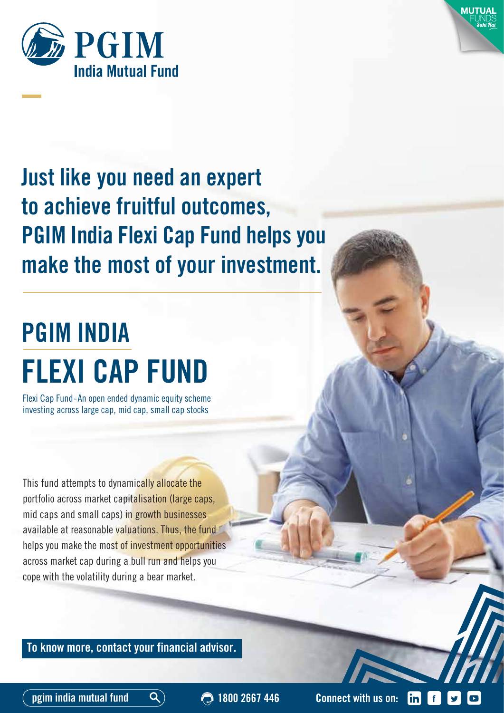



## **Just like you need an expert to achieve fruitful outcomes, PGIM India Flexi Cap Fund helps you make the most of your investment.**

# **PGIM INDIA FLEXI CAP FUND**

Flexi Cap Fund-An open ended dynamic equity scheme investing across large cap, mid cap, small cap stocks

This fund attempts to dynamically allocate the portfolio across market capitalisation (large caps, mid caps and small caps) in growth businesses available at reasonable valuations. Thus, the fund helps you make the most of investment opportunities across market cap during a bull run and helps you cope with the volatility during a bear market.

**To know more, contact your financial advisor.**

**pgim india mutual fund 1800 2667 446 Connect with us on:**

 $\mathsf{lin}\mathsf{l}$  $\lceil f \rceil$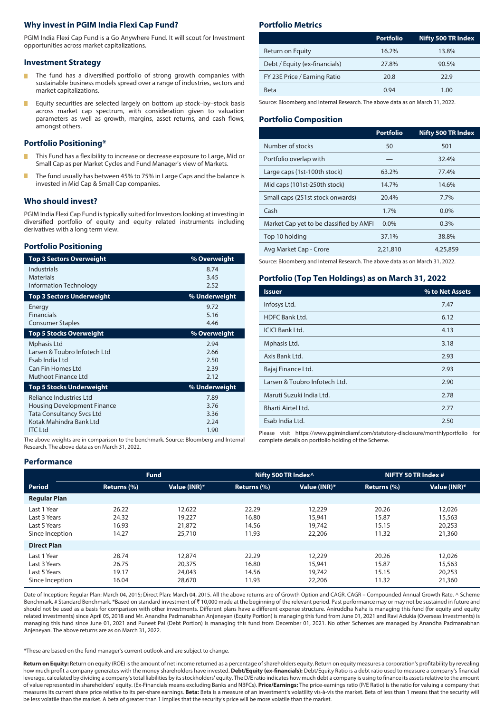#### **Why invest in PGIM India Flexi Cap Fund?**

PGIM India Flexi Cap Fund is a Go Anywhere Fund. It will scout for Investment opportunities across market capitalizations.

#### **Investment Strategy**

- Г The fund has a diversified portfolio of strong growth companies with sustainable business models spread over a range of industries, sectors and market capitalizations.
- Equity securities are selected largely on bottom up stock–by–stock basis П across market cap spectrum, with consideration given to valuation parameters as well as growth, margins, asset returns, and cash flows, amongst others.

#### **Portfolio Positioning\***

- This Fund has a flexibility to increase or decrease exposure to Large, Mid or Small Cap as per Market Cycles and Fund Manager's view of Markets.
- The fund usually has between 45% to 75% in Large Caps and the balance is invested in Mid Cap & Small Cap companies.

#### **Who should invest?**

PGIM India Flexi Cap Fund is typically suited for Investors looking at investing in diversified portfolio of equity and equity related instruments including derivatives with a long term view.

#### **Portfolio Positioning**

| <b>Top 3 Sectors Overweight</b>    | % Overweight  |
|------------------------------------|---------------|
| Industrials<br><b>Materials</b>    | 8.74<br>3.45  |
| <b>Information Technology</b>      | 2.52          |
| <b>Top 3 Sectors Underweight</b>   | % Underweight |
| Energy                             | 9.72          |
| <b>Financials</b>                  | 5.16          |
| <b>Consumer Staples</b>            | 4.46          |
| <b>Top 5 Stocks Overweight</b>     | % Overweight  |
| Mphasis Ltd                        | 2.94          |
| Larsen & Toubro Infotech Ltd       | 2.66          |
| Esab India Ltd                     | 2.50          |
| Can Fin Homes Ltd                  | 2.39          |
| Muthoot Finance Ltd                | 2.12          |
| Top 5 Stocks Underweight           | % Underweight |
| Reliance Industries Ltd            | 7.89          |
| <b>Housing Development Finance</b> | 3.76          |
| <b>Tata Consultancy Svcs Ltd</b>   | 3.36          |
| Kotak Mahindra Bank Ltd            | 2.24          |
| <b>ITC Ltd</b>                     | 1.90          |
|                                    |               |

The above weights are in comparison to the benchmark. Source: Bloomberg and Internal Research. The above data as on March 31, 2022.

#### **Portfolio Metrics**

| <b>Portfolio</b> | Nifty 500 TR Index |
|------------------|--------------------|
| 16.2%            | 13.8%              |
| 27.8%            | 90.5%              |
| 20.8             | 22.9               |
| 0.94             | 1.00               |
|                  |                    |

Source: Bloomberg and Internal Research. The above data as on March 31, 2022.

#### **Portfolio Composition**

|                                         | <b>Portfolio</b> | <b>Nifty 500 TR Index</b> |
|-----------------------------------------|------------------|---------------------------|
| Number of stocks                        | 50               | 501                       |
| Portfolio overlap with                  |                  | 32.4%                     |
| Large caps (1st-100th stock)            | 63.2%            | 77.4%                     |
| Mid caps (101st-250th stock)            | 14.7%            | 14.6%                     |
| Small caps (251st stock onwards)        | 20.4%            | 7.7%                      |
| Cash                                    | 1.7%             | $0.0\%$                   |
| Market Cap yet to be classified by AMFI | $0.0\%$          | 0.3%                      |
| Top 10 holding                          | 37.1%            | 38.8%                     |
| Avg Market Cap - Crore                  | 2,21,810         | 4,25,859                  |

Source: Bloomberg and Internal Research. The above data as on March 31, 2022.

#### **Portfolio (Top Ten Holdings) as on March 31, 2022**

| <b>Issuer</b>                 | % to Net Assets |
|-------------------------------|-----------------|
| Infosys Ltd.                  | 7.47            |
| <b>HDFC Bank Ltd.</b>         | 6.12            |
| <b>ICICI Bank Ltd.</b>        | 4.13            |
| Mphasis Ltd.                  | 3.18            |
| Axis Bank Ltd.                | 2.93            |
| Bajaj Finance Ltd.            | 2.93            |
| Larsen & Toubro Infotech Ltd. | 2.90            |
| Maruti Suzuki India Ltd.      | 2.78            |
| Bharti Airtel Ltd.            | 2.77            |
| Esab India Ltd.               | 2.50            |

Please visit https://www.pgimindiamf.com/statutory-disclosure/monthlyportfolio for complete details on portfolio holding of the Scheme.

#### **Performance**

|                                                                | <b>Fund</b>                      |                                      |                                  | Nifty 500 TR Index^                  | NIFTY 50 TR Index #              |                                      |
|----------------------------------------------------------------|----------------------------------|--------------------------------------|----------------------------------|--------------------------------------|----------------------------------|--------------------------------------|
| <b>Period</b>                                                  | Returns (%)                      | Value (INR)*                         | Returns (%)                      | Value (INR)*                         | Returns (%)                      | Value (INR)*                         |
| <b>Regular Plan</b>                                            |                                  |                                      |                                  |                                      |                                  |                                      |
| Last 1 Year<br>Last 3 Years<br>Last 5 Years<br>Since Inception | 26.22<br>24.32<br>16.93<br>14.27 | 12,622<br>19,227<br>21,872<br>25,710 | 22.29<br>16.80<br>14.56<br>11.93 | 12,229<br>15,941<br>19,742<br>22,206 | 20.26<br>15.87<br>15.15<br>11.32 | 12,026<br>15,563<br>20,253<br>21,360 |
| <b>Direct Plan</b>                                             |                                  |                                      |                                  |                                      |                                  |                                      |
| Last 1 Year<br>Last 3 Years<br>Last 5 Years<br>Since Inception | 28.74<br>26.75<br>19.17<br>16.04 | 12,874<br>20,375<br>24,043<br>28,670 | 22.29<br>16.80<br>14.56<br>11.93 | 12,229<br>15,941<br>19,742<br>22,206 | 20.26<br>15.87<br>15.15<br>11.32 | 12,026<br>15,563<br>20,253<br>21,360 |

Date of Inception: Regular Plan: March 04, 2015; Direct Plan: March 04, 2015. All the above returns are of Growth Option and CAGR. CAGR – Compounded Annual Growth Rate. ^ Scheme Benchmark. # Standard Benchmark. \*Based on standard investment of ₹10,000 made at the beginning of the relevant period. Past performance may or may not be sustained in future and should not be used as a basis for comparison with other investments. Different plans have a different expense structure. Aniruddha Naha is managing this fund (for equity and equity related investments) since April 05, 2018 and Mr. Anandha Padmanabhan Anjeneyan (Equity Portion) is managing this fund from June 01, 2021 and Ravi Adukia (Overseas Investments) is managing this fund since June 01, 2021 and Puneet Pal (Debt Portion) is managing this fund from December 01, 2021. No other Schemes are managed by Anandha Padmanabhan Anjeneyan. The above returns are as on March 31, 2022.

\*These are based on the fund manager's current outlook and are subject to change.

Return on Equity: Return on equity (ROE) is the amount of net income returned as a percentage of shareholders equity. Return on equity measures a corporation's profitability by revealing how much profit a company generates with the money shareholders have invested. Debt/Equity (ex-financials): Debt/Equity Ratio is a debt ratio used to measure a company's financial leverage, calculated by dividing a company's total liabilities by its stockholders' equity. The D/E ratio indicates how much debt a company is using to finance its assets relative to the amount of value represented in shareholders' equity. (Ex-Financials means excluding Banks and NBFCs). **Price/Earnings:** The price-earnings ratio (P/E Ratio) is the ratio for valuing a company that measures its current share price relative to its per-share earnings. **Beta:** Beta is a measure of an investment's volatility vis-à-vis the market. Beta of less than 1 means that the security will be less volatile than the market. A beta of greater than 1 implies that the security's price will be more volatile than the market.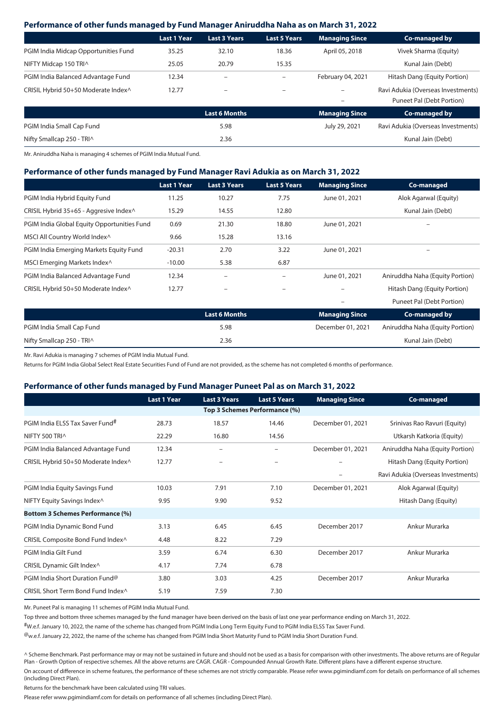#### **Performance of other funds managed by Fund Manager Aniruddha Naha as on March 31, 2022**

|                                      | <b>Last 1 Year</b> | <b>Last 3 Years</b>      | <b>Last 5 Years</b>      | <b>Managing Since</b> | Co-managed by                      |
|--------------------------------------|--------------------|--------------------------|--------------------------|-----------------------|------------------------------------|
| PGIM India Midcap Opportunities Fund | 35.25              | 32.10                    | 18.36                    | April 05, 2018        | Vivek Sharma (Equity)              |
| NIFTY Midcap 150 TRIA                | 25.05              | 20.79                    | 15.35                    |                       | Kunal Jain (Debt)                  |
| PGIM India Balanced Advantage Fund   | 12.34              | ۰                        | $\overline{\phantom{0}}$ | February 04, 2021     | Hitash Dang (Equity Portion)       |
| CRISIL Hybrid 50+50 Moderate Index^  | 12.77              | $\overline{\phantom{0}}$ | -                        |                       | Ravi Adukia (Overseas Investments) |
|                                      |                    |                          |                          |                       | Puneet Pal (Debt Portion)          |
|                                      |                    | <b>Last 6 Months</b>     |                          | <b>Managing Since</b> | Co-managed by                      |
| PGIM India Small Cap Fund            |                    | 5.98                     |                          | July 29, 2021         | Ravi Adukia (Overseas Investments) |
| Nifty Smallcap 250 - TRIA            |                    | 2.36                     |                          |                       | Kunal Jain (Debt)                  |

Mr. Aniruddha Naha is managing 4 schemes of PGIM India Mutual Fund.

#### **Performance of other funds managed by Fund Manager Ravi Adukia as on March 31, 2022**

|                                             | <b>Last 1 Year</b> | <b>Last 3 Years</b>      | <b>Last 5 Years</b>      | <b>Managing Since</b> | Co-managed                      |
|---------------------------------------------|--------------------|--------------------------|--------------------------|-----------------------|---------------------------------|
| PGIM India Hybrid Equity Fund               | 11.25              | 10.27                    | 7.75                     | June 01, 2021         | Alok Agarwal (Equity)           |
| CRISIL Hybrid 35+65 - Aggresive Index^      | 15.29              | 14.55                    | 12.80                    |                       | Kunal Jain (Debt)               |
| PGIM India Global Equity Opportunities Fund | 0.69               | 21.30                    | 18.80                    | June 01, 2021         | -                               |
| MSCI All Country World Index^               | 9.66               | 15.28                    | 13.16                    |                       |                                 |
| PGIM India Emerging Markets Equity Fund     | $-20.31$           | 2.70                     | 3.22                     | June 01, 2021         |                                 |
| MSCI Emerging Markets Index^                | $-10.00$           | 5.38                     | 6.87                     |                       |                                 |
| PGIM India Balanced Advantage Fund          | 12.34              | $\overline{\phantom{m}}$ |                          | June 01, 2021         | Aniruddha Naha (Equity Portion) |
| CRISIL Hybrid 50+50 Moderate Index^         | 12.77              | $\qquad \qquad -$        | $\overline{\phantom{a}}$ | -                     | Hitash Dang (Equity Portion)    |
|                                             |                    |                          |                          |                       | Puneet Pal (Debt Portion)       |
|                                             |                    | <b>Last 6 Months</b>     |                          | <b>Managing Since</b> | Co-managed by                   |
| PGIM India Small Cap Fund                   |                    | 5.98                     |                          | December 01, 2021     | Aniruddha Naha (Equity Portion) |
| Nifty Smallcap 250 - TRIA                   |                    | 2.36                     |                          |                       | Kunal Jain (Debt)               |

Mr. Ravi Adukia is managing 7 schemes of PGIM India Mutual Fund.

Returns for PGIM India Global Select Real Estate Securities Fund of Fund are not provided, as the scheme has not completed 6 months of performance.

#### **Performance of other funds managed by Fund Manager Puneet Pal as on March 31, 2022**

|                                         | <b>Last 1 Year</b> | <b>Last 3 Years</b> | <b>Last 5 Years</b>      | <b>Managing Since</b> | Co-managed                         |
|-----------------------------------------|--------------------|---------------------|--------------------------|-----------------------|------------------------------------|
|                                         |                    |                     |                          |                       |                                    |
| PGIM India ELSS Tax Saver Fund#         | 28.73              | 18.57               | 14.46                    | December 01, 2021     | Srinivas Rao Ravuri (Equity)       |
| NIFTY 500 TRIA                          | 22.29              | 16.80               | 14.56                    |                       | Utkarsh Katkoria (Equity)          |
| PGIM India Balanced Advantage Fund      | 12.34              | $\qquad \qquad -$   | $\overline{\phantom{0}}$ | December 01, 2021     | Aniruddha Naha (Equity Portion)    |
| CRISIL Hybrid 50+50 Moderate Index^     | 12.77              | -                   | $\qquad \qquad -$        |                       | Hitash Dang (Equity Portion)       |
|                                         |                    |                     |                          |                       | Ravi Adukia (Overseas Investments) |
| PGIM India Equity Savings Fund          | 10.03              | 7.91                | 7.10                     | December 01, 2021     | Alok Agarwal (Equity)              |
| NIFTY Equity Savings Index^             | 9.95               | 9.90                | 9.52                     |                       | Hitash Dang (Equity)               |
| <b>Bottom 3 Schemes Performance (%)</b> |                    |                     |                          |                       |                                    |
| PGIM India Dynamic Bond Fund            | 3.13               | 6.45                | 6.45                     | December 2017         | Ankur Murarka                      |
| CRISIL Composite Bond Fund Index^       | 4.48               | 8.22                | 7.29                     |                       |                                    |
| PGIM India Gilt Fund                    | 3.59               | 6.74                | 6.30                     | December 2017         | Ankur Murarka                      |
| CRISIL Dynamic Gilt Index^              | 4.17               | 7.74                | 6.78                     |                       |                                    |
| PGIM India Short Duration Fund@         | 3.80               | 3.03                | 4.25                     | December 2017         | Ankur Murarka                      |
| CRISIL Short Term Bond Fund Index^      | 5.19               | 7.59                | 7.30                     |                       |                                    |

Mr. Puneet Pal is managing 11 schemes of PGIM India Mutual Fund.

Top three and bottom three schemes managed by the fund manager have been derived on the basis of last one year performance ending on March 31, 2022.

#W.e.f. January 10, 2022, the name of the scheme has changed from PGIM India Long Term Equity Fund to PGIM India ELSS Tax Saver Fund.

 $^{\textregistered}$ w.e.f. January 22, 2022, the name of the scheme has changed from PGIM India Short Maturity Fund to PGIM India Short Duration Fund.

^ Scheme Benchmark. Past performance may or may not be sustained in future and should not be used as a basis for comparison with other investments. The above returns are of Regular Plan - Growth Option of respective schemes. All the above returns are CAGR. CAGR - Compounded Annual Growth Rate. Different plans have a different expense structure.

On account of dierence in scheme features, the performance of these schemes are not strictly comparable. Please refer www.pgimindiamf.com for details on performance of all schemes (including Direct Plan).

Returns for the benchmark have been calculated using TRI values.

Please refer www.pgimindiamf.com for details on performance of all schemes (including Direct Plan).